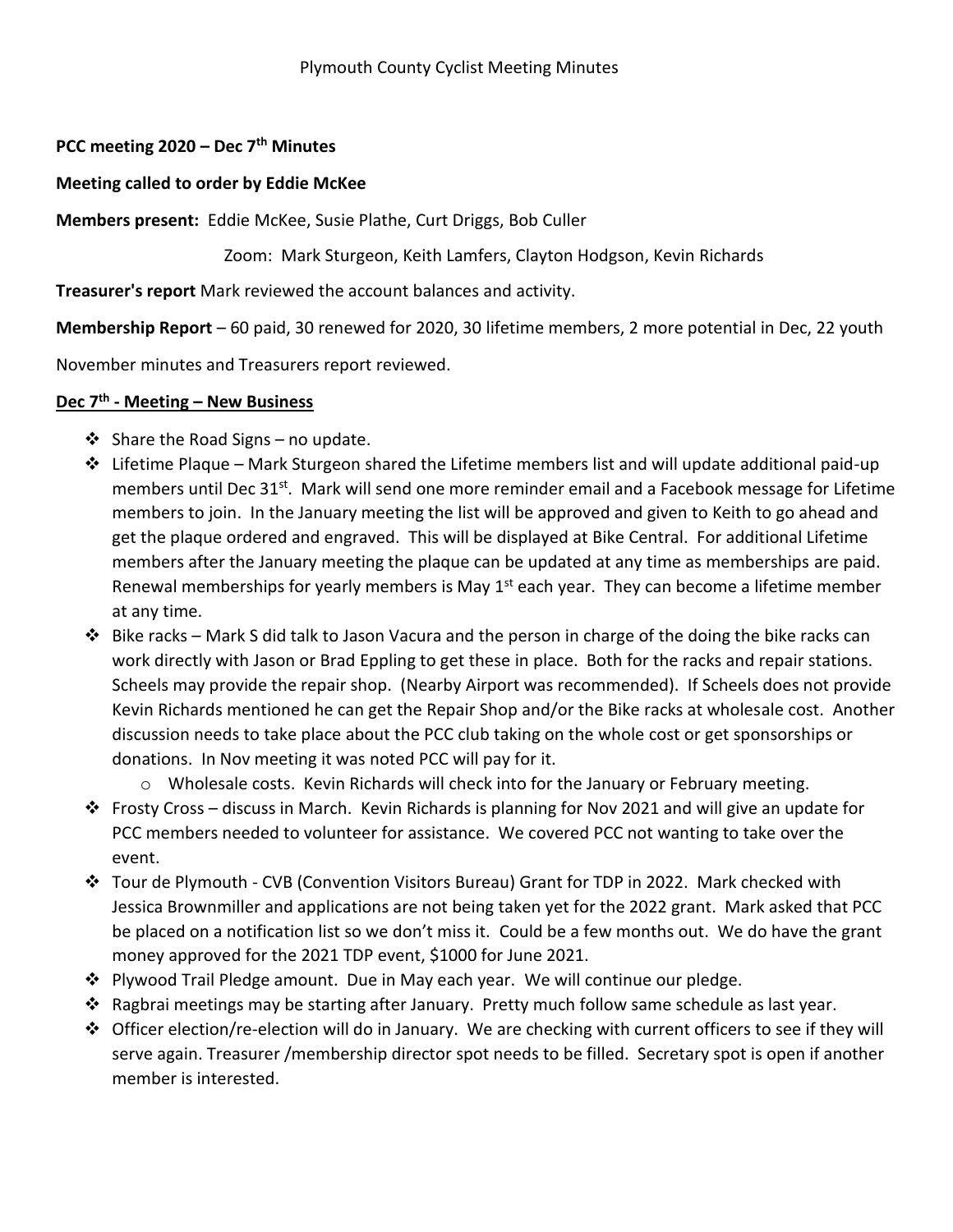## **PCC meeting 2020 – Dec 7th Minutes**

## **Meeting called to order by Eddie McKee**

**Members present:** Eddie McKee, Susie Plathe, Curt Driggs, Bob Culler

Zoom: Mark Sturgeon, Keith Lamfers, Clayton Hodgson, Kevin Richards

**Treasurer's report** Mark reviewed the account balances and activity.

**Membership Report** – 60 paid, 30 renewed for 2020, 30 lifetime members, 2 more potential in Dec, 22 youth

November minutes and Treasurers report reviewed.

## **Dec 7th - Meeting – New Business**

- $\triangleleft$  Share the Road Signs no update.
- $\div$  Lifetime Plaque Mark Sturgeon shared the Lifetime members list and will update additional paid-up members until Dec 31<sup>st</sup>. Mark will send one more reminder email and a Facebook message for Lifetime members to join. In the January meeting the list will be approved and given to Keith to go ahead and get the plaque ordered and engraved. This will be displayed at Bike Central. For additional Lifetime members after the January meeting the plaque can be updated at any time as memberships are paid. Renewal memberships for yearly members is May  $1<sup>st</sup>$  each year. They can become a lifetime member at any time.
- $\cdot \cdot$  Bike racks Mark S did talk to Jason Vacura and the person in charge of the doing the bike racks can work directly with Jason or Brad Eppling to get these in place. Both for the racks and repair stations. Scheels may provide the repair shop. (Nearby Airport was recommended). If Scheels does not provide Kevin Richards mentioned he can get the Repair Shop and/or the Bike racks at wholesale cost. Another discussion needs to take place about the PCC club taking on the whole cost or get sponsorships or donations. In Nov meeting it was noted PCC will pay for it.
	- o Wholesale costs. Kevin Richards will check into for the January or February meeting.
- Frosty Cross discuss in March. Kevin Richards is planning for Nov 2021 and will give an update for PCC members needed to volunteer for assistance. We covered PCC not wanting to take over the event.
- Tour de Plymouth CVB (Convention Visitors Bureau) Grant for TDP in 2022. Mark checked with Jessica Brownmiller and applications are not being taken yet for the 2022 grant. Mark asked that PCC be placed on a notification list so we don't miss it. Could be a few months out. We do have the grant money approved for the 2021 TDP event, \$1000 for June 2021.
- $\div$  Plywood Trail Pledge amount. Due in May each year. We will continue our pledge.
- $\clubsuit$  Ragbrai meetings may be starting after January. Pretty much follow same schedule as last year.
- $\div$  Officer election/re-election will do in January. We are checking with current officers to see if they will serve again. Treasurer /membership director spot needs to be filled. Secretary spot is open if another member is interested.